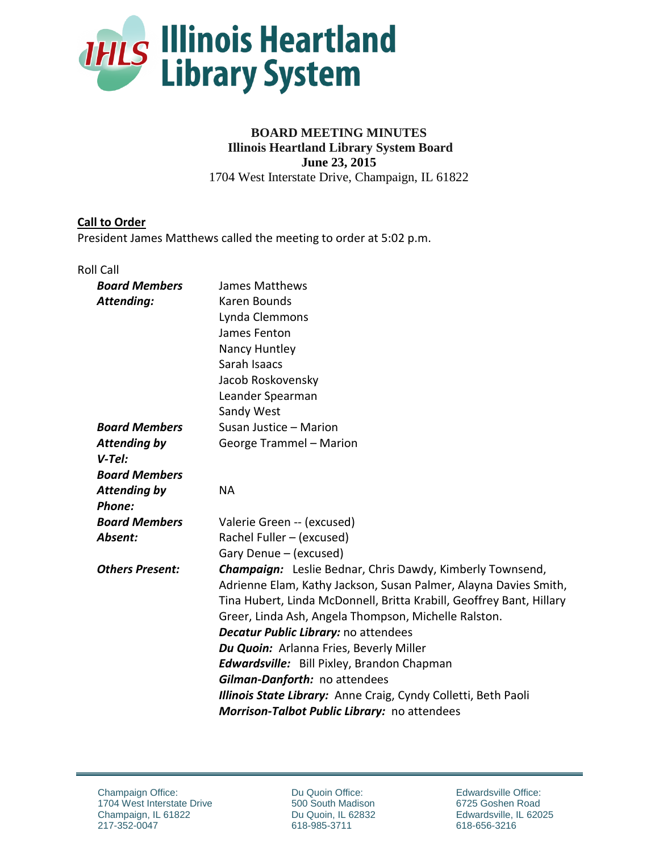

# **BOARD MEETING MINUTES Illinois Heartland Library System Board June 23, 2015** 1704 West Interstate Drive, Champaign, IL 61822

### **Call to Order**

President James Matthews called the meeting to order at 5:02 p.m.

#### Roll Call

| <b>Board Members</b>   | <b>James Matthews</b>                                                |
|------------------------|----------------------------------------------------------------------|
| Attending:             | Karen Bounds                                                         |
|                        | Lynda Clemmons                                                       |
|                        | James Fenton                                                         |
|                        | Nancy Huntley                                                        |
|                        | Sarah Isaacs                                                         |
|                        | Jacob Roskovensky                                                    |
|                        | Leander Spearman                                                     |
|                        | Sandy West                                                           |
| <b>Board Members</b>   | Susan Justice - Marion                                               |
| <b>Attending by</b>    | George Trammel - Marion                                              |
| $V-Tel:$               |                                                                      |
| <b>Board Members</b>   |                                                                      |
| <b>Attending by</b>    | <b>NA</b>                                                            |
| Phone:                 |                                                                      |
| <b>Board Members</b>   | Valerie Green -- (excused)                                           |
| Absent:                | Rachel Fuller - (excused)                                            |
|                        | Gary Denue - (excused)                                               |
| <b>Others Present:</b> | <b>Champaign:</b> Leslie Bednar, Chris Dawdy, Kimberly Townsend,     |
|                        | Adrienne Elam, Kathy Jackson, Susan Palmer, Alayna Davies Smith,     |
|                        | Tina Hubert, Linda McDonnell, Britta Krabill, Geoffrey Bant, Hillary |
|                        | Greer, Linda Ash, Angela Thompson, Michelle Ralston.                 |
|                        | Decatur Public Library: no attendees                                 |
|                        | Du Quoin: Arlanna Fries, Beverly Miller                              |
|                        | <b>Edwardsville:</b> Bill Pixley, Brandon Chapman                    |
|                        | Gilman-Danforth: no attendees                                        |
|                        | Illinois State Library: Anne Craig, Cyndy Colletti, Beth Paoli       |
|                        | Morrison-Talbot Public Library: no attendees                         |

Du Quoin Office: 500 South Madison Du Quoin, IL 62832 618-985-3711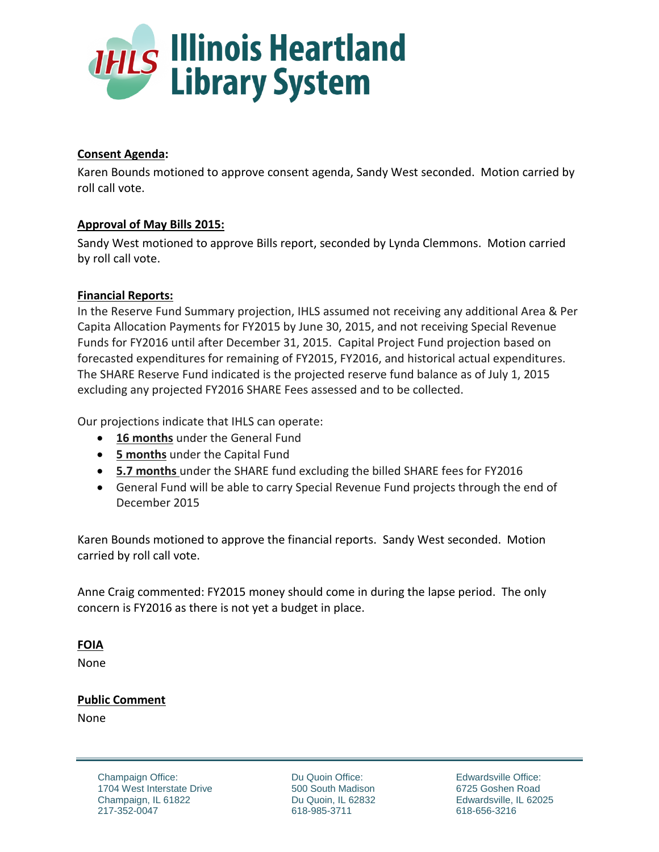

## **Consent Agenda:**

Karen Bounds motioned to approve consent agenda, Sandy West seconded. Motion carried by roll call vote.

## **Approval of May Bills 2015:**

Sandy West motioned to approve Bills report, seconded by Lynda Clemmons. Motion carried by roll call vote.

## **Financial Reports:**

In the Reserve Fund Summary projection, IHLS assumed not receiving any additional Area & Per Capita Allocation Payments for FY2015 by June 30, 2015, and not receiving Special Revenue Funds for FY2016 until after December 31, 2015. Capital Project Fund projection based on forecasted expenditures for remaining of FY2015, FY2016, and historical actual expenditures. The SHARE Reserve Fund indicated is the projected reserve fund balance as of July 1, 2015 excluding any projected FY2016 SHARE Fees assessed and to be collected.

Our projections indicate that IHLS can operate:

- **16 months** under the General Fund
- **5 months** under the Capital Fund
- **5.7 months** under the SHARE fund excluding the billed SHARE fees for FY2016
- General Fund will be able to carry Special Revenue Fund projects through the end of December 2015

Karen Bounds motioned to approve the financial reports. Sandy West seconded. Motion carried by roll call vote.

Anne Craig commented: FY2015 money should come in during the lapse period. The only concern is FY2016 as there is not yet a budget in place.

## **FOIA**

None

## **Public Comment**

None

Du Quoin Office: 500 South Madison Du Quoin, IL 62832 618-985-3711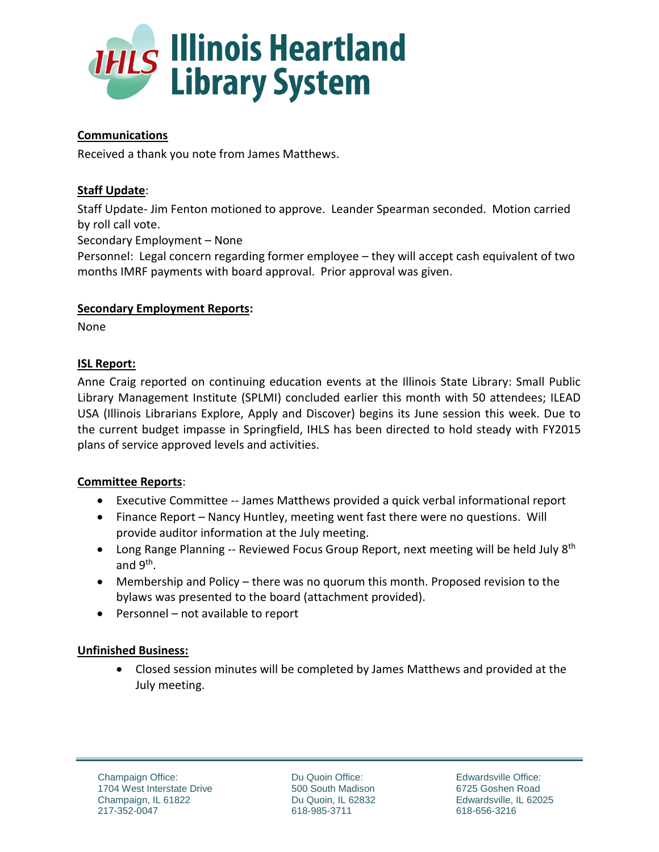

# **Communications**

Received a thank you note from James Matthews.

# **Staff Update**:

Staff Update- Jim Fenton motioned to approve. Leander Spearman seconded. Motion carried by roll call vote.

Secondary Employment – None

Personnel: Legal concern regarding former employee – they will accept cash equivalent of two months IMRF payments with board approval. Prior approval was given.

### **Secondary Employment Reports:**

None

## **ISL Report:**

Anne Craig reported on continuing education events at the Illinois State Library: Small Public Library Management Institute (SPLMI) concluded earlier this month with 50 attendees; ILEAD USA (Illinois Librarians Explore, Apply and Discover) begins its June session this week. Due to the current budget impasse in Springfield, IHLS has been directed to hold steady with FY2015 plans of service approved levels and activities.

## **Committee Reports**:

- Executive Committee -- James Matthews provided a quick verbal informational report
- Finance Report Nancy Huntley, meeting went fast there were no questions. Will provide auditor information at the July meeting.
- Long Range Planning -- Reviewed Focus Group Report, next meeting will be held July  $8<sup>th</sup>$ and 9<sup>th</sup>.
- Membership and Policy there was no quorum this month. Proposed revision to the bylaws was presented to the board (attachment provided).
- $\bullet$  Personnel not available to report

## **Unfinished Business:**

 Closed session minutes will be completed by James Matthews and provided at the July meeting.

Du Quoin Office: 500 South Madison Du Quoin, IL 62832 618-985-3711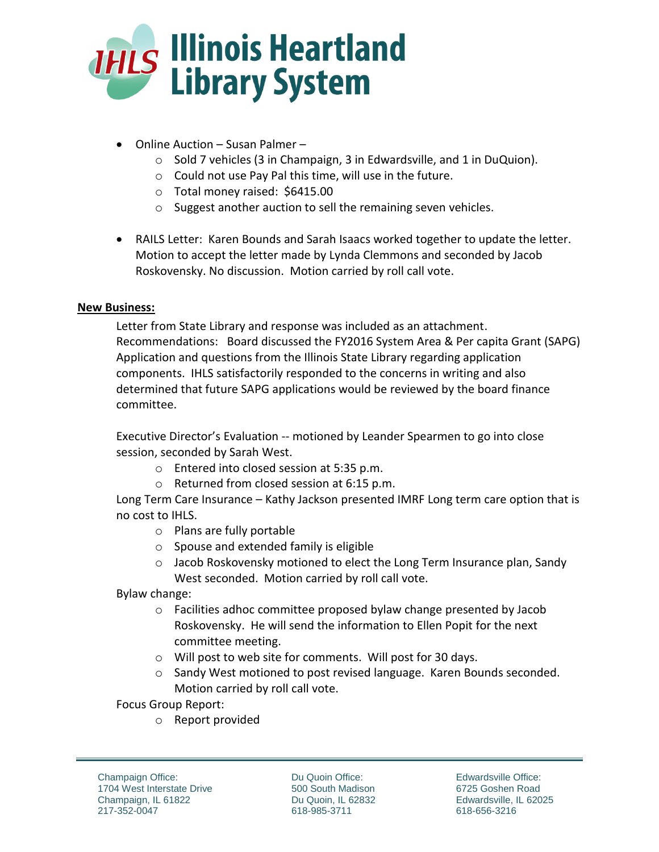

- Online Auction Susan Palmer
	- o Sold 7 vehicles (3 in Champaign, 3 in Edwardsville, and 1 in DuQuion).
	- o Could not use Pay Pal this time, will use in the future.
	- o Total money raised: \$6415.00
	- o Suggest another auction to sell the remaining seven vehicles.
- RAILS Letter: Karen Bounds and Sarah Isaacs worked together to update the letter. Motion to accept the letter made by Lynda Clemmons and seconded by Jacob Roskovensky. No discussion. Motion carried by roll call vote.

### **New Business:**

Letter from State Library and response was included as an attachment. Recommendations: Board discussed the FY2016 System Area & Per capita Grant (SAPG) Application and questions from the Illinois State Library regarding application components. IHLS satisfactorily responded to the concerns in writing and also determined that future SAPG applications would be reviewed by the board finance committee.

Executive Director's Evaluation -- motioned by Leander Spearmen to go into close session, seconded by Sarah West.

- o Entered into closed session at 5:35 p.m.
- o Returned from closed session at 6:15 p.m.

Long Term Care Insurance – Kathy Jackson presented IMRF Long term care option that is no cost to IHLS.

- o Plans are fully portable
- o Spouse and extended family is eligible
- o Jacob Roskovensky motioned to elect the Long Term Insurance plan, Sandy West seconded. Motion carried by roll call vote.

Bylaw change:

- o Facilities adhoc committee proposed bylaw change presented by Jacob Roskovensky. He will send the information to Ellen Popit for the next committee meeting.
- o Will post to web site for comments. Will post for 30 days.
- o Sandy West motioned to post revised language. Karen Bounds seconded. Motion carried by roll call vote.

Focus Group Report:

o Report provided

Du Quoin Office: 500 South Madison Du Quoin, IL 62832 618-985-3711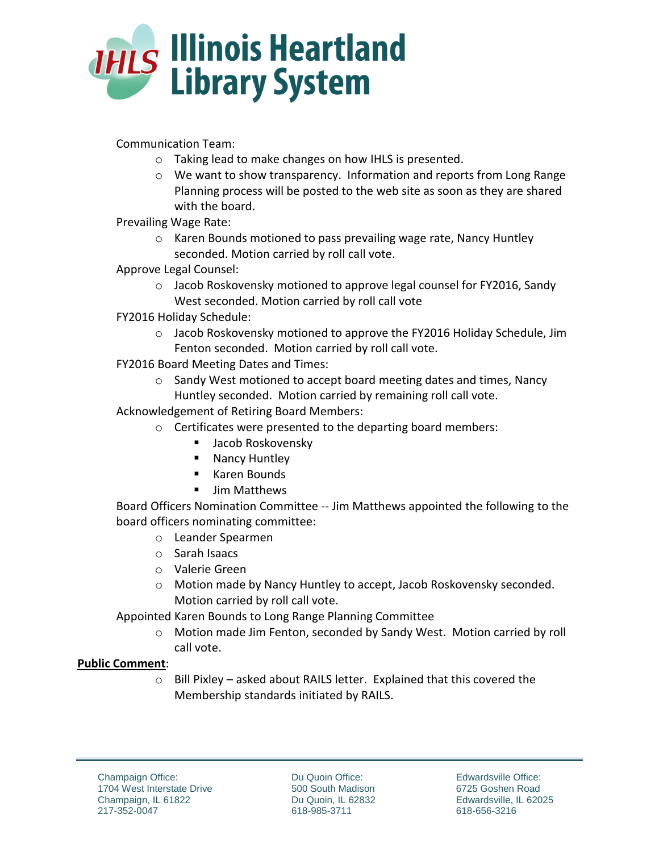

Communication Team:

- o Taking lead to make changes on how IHLS is presented.
- $\circ$  We want to show transparency. Information and reports from Long Range Planning process will be posted to the web site as soon as they are shared with the board.
- Prevailing Wage Rate:
	- o Karen Bounds motioned to pass prevailing wage rate, Nancy Huntley seconded. Motion carried by roll call vote.
- Approve Legal Counsel:
	- o Jacob Roskovensky motioned to approve legal counsel for FY2016, Sandy West seconded. Motion carried by roll call vote
- FY2016 Holiday Schedule:
	- $\circ$  Jacob Roskovensky motioned to approve the FY2016 Holiday Schedule, Jim Fenton seconded. Motion carried by roll call vote.
- FY2016 Board Meeting Dates and Times:
	- o Sandy West motioned to accept board meeting dates and times, Nancy Huntley seconded. Motion carried by remaining roll call vote.

Acknowledgement of Retiring Board Members:

- o Certificates were presented to the departing board members:
	- Jacob Roskovensky
	- **Nancy Huntley**
	- Karen Bounds
	- **Jim Matthews**

Board Officers Nomination Committee -- Jim Matthews appointed the following to the board officers nominating committee:

- o Leander Spearmen
- o Sarah Isaacs
- o Valerie Green
- o Motion made by Nancy Huntley to accept, Jacob Roskovensky seconded. Motion carried by roll call vote.

Appointed Karen Bounds to Long Range Planning Committee

o Motion made Jim Fenton, seconded by Sandy West. Motion carried by roll call vote.

## **Public Comment**:

o Bill Pixley – asked about RAILS letter. Explained that this covered the Membership standards initiated by RAILS.